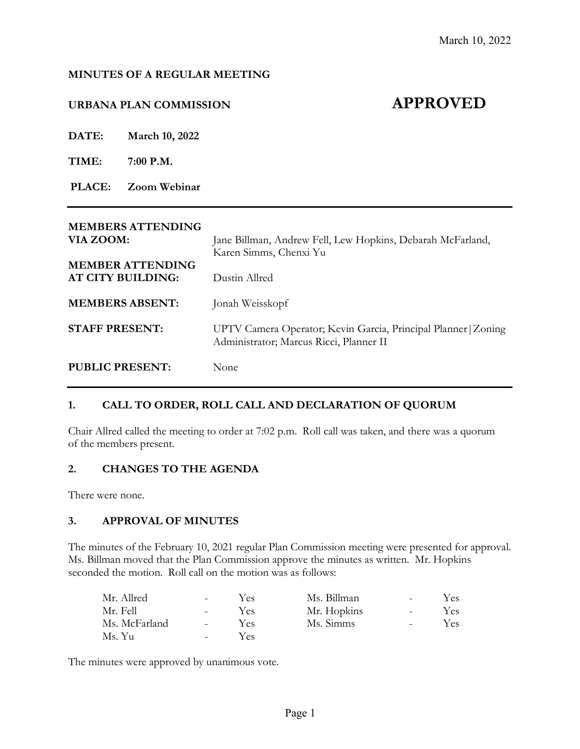#### **MINUTES OF A REGULAR MEETING**

# **URBANA PLAN COMMISSION APPROVED**

**DATE: March 10, 2022**

**TIME: 7:00 P.M.**

**PLACE: Zoom Webinar**

| <b>MEMBERS ATTENDING</b><br>VIA ZOOM:        | Jane Billman, Andrew Fell, Lew Hopkins, Debarah McFarland,<br>Karen Simms, Chenxi Yu                      |
|----------------------------------------------|-----------------------------------------------------------------------------------------------------------|
| <b>MEMBER ATTENDING</b><br>AT CITY BUILDING: | Dustin Allred                                                                                             |
| <b>MEMBERS ABSENT:</b>                       | Jonah Weisskopf                                                                                           |
| <b>STAFF PRESENT:</b>                        | UPTV Camera Operator; Kevin Garcia, Principal Planner   Zoning<br>Administrator; Marcus Ricci, Planner II |
| <b>PUBLIC PRESENT:</b>                       | None                                                                                                      |

# **1. CALL TO ORDER, ROLL CALL AND DECLARATION OF QUORUM**

Chair Allred called the meeting to order at 7:02 p.m. Roll call was taken, and there was a quorum of the members present.

#### **2. CHANGES TO THE AGENDA**

There were none.

# **3. APPROVAL OF MINUTES**

The minutes of the February 10, 2021 regular Plan Commission meeting were presented for approval. Ms. Billman moved that the Plan Commission approve the minutes as written. Mr. Hopkins seconded the motion. Roll call on the motion was as follows:

| Mr. Allred    | $\sim$ $-$       | Yes | Ms. Billman | $\overline{\phantom{a}}$ | Yes |
|---------------|------------------|-----|-------------|--------------------------|-----|
| Mr. Fell      | $\sim$ 10 $\sim$ | Yes | Mr. Hopkins | $\sim$                   | Yes |
| Ms. McFarland | $\sim$ 10 $\pm$  | Yes | Ms. Simms   | $\equiv$                 | Yes |
| Ms. Yu        |                  | Yes |             |                          |     |

The minutes were approved by unanimous vote.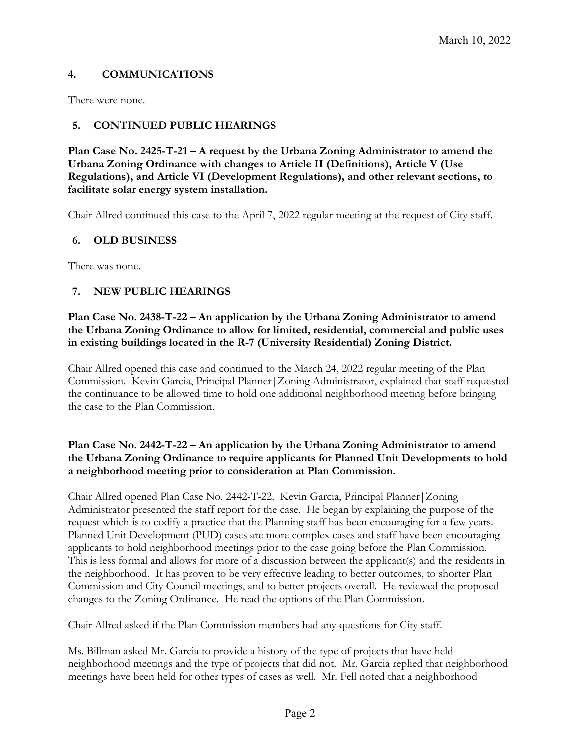# **4. COMMUNICATIONS**

There were none.

# **5. CONTINUED PUBLIC HEARINGS**

**Plan Case No. 2425-T-21 – A request by the Urbana Zoning Administrator to amend the Urbana Zoning Ordinance with changes to Article II (Definitions), Article V (Use Regulations), and Article VI (Development Regulations), and other relevant sections, to facilitate solar energy system installation.**

Chair Allred continued this case to the April 7, 2022 regular meeting at the request of City staff.

#### **6. OLD BUSINESS**

There was none.

# **7. NEW PUBLIC HEARINGS**

# **Plan Case No. 2438-T-22 – An application by the Urbana Zoning Administrator to amend the Urbana Zoning Ordinance to allow for limited, residential, commercial and public uses in existing buildings located in the R-7 (University Residential) Zoning District.**

Chair Allred opened this case and continued to the March 24, 2022 regular meeting of the Plan Commission. Kevin Garcia, Principal Planner|Zoning Administrator, explained that staff requested the continuance to be allowed time to hold one additional neighborhood meeting before bringing the case to the Plan Commission.

# **Plan Case No. 2442-T-22 – An application by the Urbana Zoning Administrator to amend the Urbana Zoning Ordinance to require applicants for Planned Unit Developments to hold a neighborhood meeting prior to consideration at Plan Commission.**

Chair Allred opened Plan Case No. 2442-T-22. Kevin Garcia, Principal Planner|Zoning Administrator presented the staff report for the case. He began by explaining the purpose of the request which is to codify a practice that the Planning staff has been encouraging for a few years. Planned Unit Development (PUD) cases are more complex cases and staff have been encouraging applicants to hold neighborhood meetings prior to the case going before the Plan Commission. This is less formal and allows for more of a discussion between the applicant(s) and the residents in the neighborhood. It has proven to be very effective leading to better outcomes, to shorter Plan Commission and City Council meetings, and to better projects overall. He reviewed the proposed changes to the Zoning Ordinance. He read the options of the Plan Commission.

Chair Allred asked if the Plan Commission members had any questions for City staff.

Ms. Billman asked Mr. Garcia to provide a history of the type of projects that have held neighborhood meetings and the type of projects that did not. Mr. Garcia replied that neighborhood meetings have been held for other types of cases as well. Mr. Fell noted that a neighborhood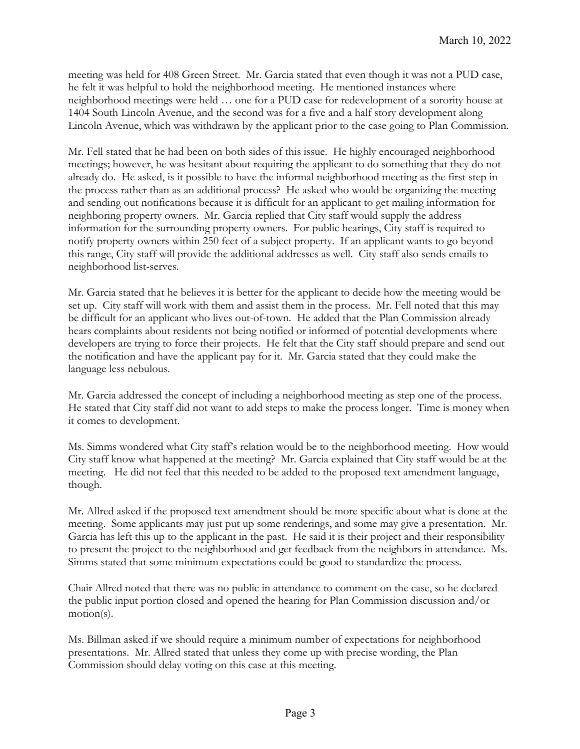meeting was held for 408 Green Street. Mr. Garcia stated that even though it was not a PUD case, he felt it was helpful to hold the neighborhood meeting. He mentioned instances where neighborhood meetings were held … one for a PUD case for redevelopment of a sorority house at 1404 South Lincoln Avenue, and the second was for a five and a half story development along Lincoln Avenue, which was withdrawn by the applicant prior to the case going to Plan Commission.

Mr. Fell stated that he had been on both sides of this issue. He highly encouraged neighborhood meetings; however, he was hesitant about requiring the applicant to do something that they do not already do. He asked, is it possible to have the informal neighborhood meeting as the first step in the process rather than as an additional process? He asked who would be organizing the meeting and sending out notifications because it is difficult for an applicant to get mailing information for neighboring property owners. Mr. Garcia replied that City staff would supply the address information for the surrounding property owners. For public hearings, City staff is required to notify property owners within 250 feet of a subject property. If an applicant wants to go beyond this range, City staff will provide the additional addresses as well. City staff also sends emails to neighborhood list-serves.

Mr. Garcia stated that he believes it is better for the applicant to decide how the meeting would be set up. City staff will work with them and assist them in the process. Mr. Fell noted that this may be difficult for an applicant who lives out-of-town. He added that the Plan Commission already hears complaints about residents not being notified or informed of potential developments where developers are trying to force their projects. He felt that the City staff should prepare and send out the notification and have the applicant pay for it. Mr. Garcia stated that they could make the language less nebulous.

Mr. Garcia addressed the concept of including a neighborhood meeting as step one of the process. He stated that City staff did not want to add steps to make the process longer. Time is money when it comes to development.

Ms. Simms wondered what City staff's relation would be to the neighborhood meeting. How would City staff know what happened at the meeting? Mr. Garcia explained that City staff would be at the meeting. He did not feel that this needed to be added to the proposed text amendment language, though.

Mr. Allred asked if the proposed text amendment should be more specific about what is done at the meeting. Some applicants may just put up some renderings, and some may give a presentation. Mr. Garcia has left this up to the applicant in the past. He said it is their project and their responsibility to present the project to the neighborhood and get feedback from the neighbors in attendance. Ms. Simms stated that some minimum expectations could be good to standardize the process.

Chair Allred noted that there was no public in attendance to comment on the case, so he declared the public input portion closed and opened the hearing for Plan Commission discussion and/or motion(s).

Ms. Billman asked if we should require a minimum number of expectations for neighborhood presentations. Mr. Allred stated that unless they come up with precise wording, the Plan Commission should delay voting on this case at this meeting.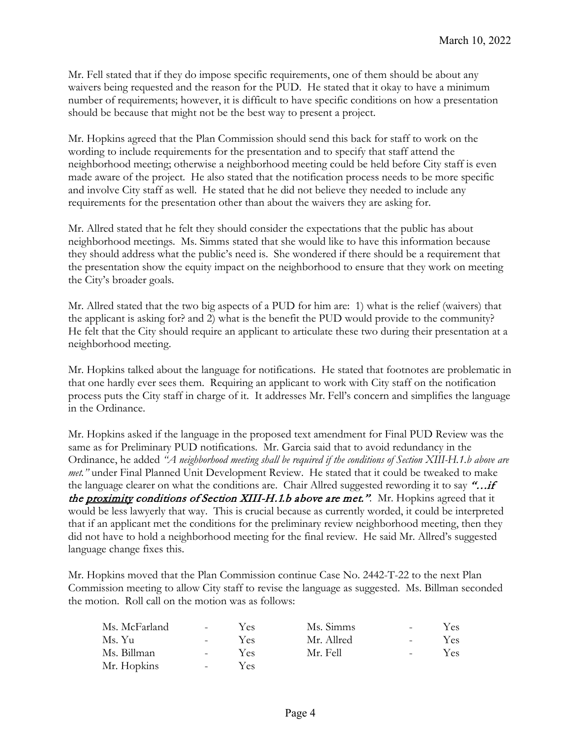Mr. Fell stated that if they do impose specific requirements, one of them should be about any waivers being requested and the reason for the PUD. He stated that it okay to have a minimum number of requirements; however, it is difficult to have specific conditions on how a presentation should be because that might not be the best way to present a project.

Mr. Hopkins agreed that the Plan Commission should send this back for staff to work on the wording to include requirements for the presentation and to specify that staff attend the neighborhood meeting; otherwise a neighborhood meeting could be held before City staff is even made aware of the project. He also stated that the notification process needs to be more specific and involve City staff as well. He stated that he did not believe they needed to include any requirements for the presentation other than about the waivers they are asking for.

Mr. Allred stated that he felt they should consider the expectations that the public has about neighborhood meetings. Ms. Simms stated that she would like to have this information because they should address what the public's need is. She wondered if there should be a requirement that the presentation show the equity impact on the neighborhood to ensure that they work on meeting the City's broader goals.

Mr. Allred stated that the two big aspects of a PUD for him are: 1) what is the relief (waivers) that the applicant is asking for? and 2) what is the benefit the PUD would provide to the community? He felt that the City should require an applicant to articulate these two during their presentation at a neighborhood meeting.

Mr. Hopkins talked about the language for notifications. He stated that footnotes are problematic in that one hardly ever sees them. Requiring an applicant to work with City staff on the notification process puts the City staff in charge of it. It addresses Mr. Fell's concern and simplifies the language in the Ordinance.

Mr. Hopkins asked if the language in the proposed text amendment for Final PUD Review was the same as for Preliminary PUD notifications. Mr. Garcia said that to avoid redundancy in the Ordinance, he added *"A neighborhood meeting shall be required if the conditions of Section XIII-H.1.b above are met."* under Final Planned Unit Development Review. He stated that it could be tweaked to make the language clearer on what the conditions are. Chair Allred suggested rewording it to say "...if the *proximity conditions of Section XIII-H.1.b above are met.*". Mr. Hopkins agreed that it would be less lawyerly that way. This is crucial because as currently worded, it could be interpreted that if an applicant met the conditions for the preliminary review neighborhood meeting, then they did not have to hold a neighborhood meeting for the final review. He said Mr. Allred's suggested language change fixes this.

Mr. Hopkins moved that the Plan Commission continue Case No. 2442-T-22 to the next Plan Commission meeting to allow City staff to revise the language as suggested. Ms. Billman seconded the motion. Roll call on the motion was as follows:

| Ms. McFarland | $\sim$ $-$       | Yes | Ms. Simms  | $\sim$ | Yes |
|---------------|------------------|-----|------------|--------|-----|
| Ms. Yu        | $\sim$           | Yes | Mr. Allred |        | Yes |
| Ms. Billman   | $\sim$ 100 $\mu$ | Yes | Mr. Fell   | $\sim$ | Yes |
| Mr. Hopkins   | $\sim$ $-$       | Yes |            |        |     |